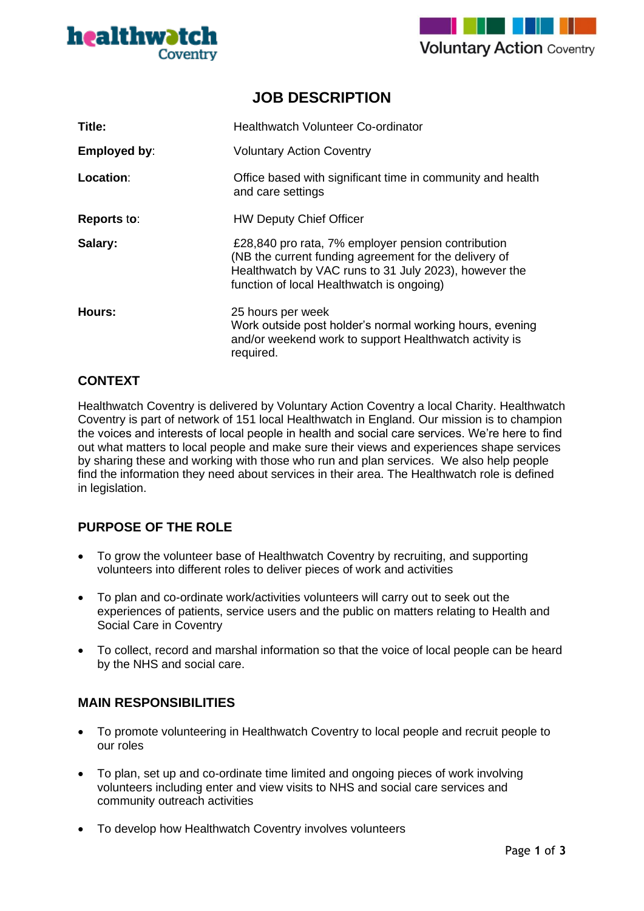



# **JOB DESCRIPTION**

| Title:             | <b>Healthwatch Volunteer Co-ordinator</b>                                                                                                                                                                         |
|--------------------|-------------------------------------------------------------------------------------------------------------------------------------------------------------------------------------------------------------------|
| Employed by:       | <b>Voluntary Action Coventry</b>                                                                                                                                                                                  |
| Location:          | Office based with significant time in community and health<br>and care settings                                                                                                                                   |
| <b>Reports to:</b> | <b>HW Deputy Chief Officer</b>                                                                                                                                                                                    |
| Salary:            | £28,840 pro rata, 7% employer pension contribution<br>(NB the current funding agreement for the delivery of<br>Healthwatch by VAC runs to 31 July 2023), however the<br>function of local Healthwatch is ongoing) |
| Hours:             | 25 hours per week<br>Work outside post holder's normal working hours, evening<br>and/or weekend work to support Healthwatch activity is<br>required.                                                              |

### **CONTEXT**

Healthwatch Coventry is delivered by Voluntary Action Coventry a local Charity. Healthwatch Coventry is part of network of 151 local Healthwatch in England. Our mission is to champion the voices and interests of local people in health and social care services. We're here to find out what matters to local people and make sure their views and experiences shape services by sharing these and working with those who run and plan services. We also help people find the information they need about services in their area. The Healthwatch role is defined in legislation.

## **PURPOSE OF THE ROLE**

- To grow the volunteer base of Healthwatch Coventry by recruiting, and supporting volunteers into different roles to deliver pieces of work and activities
- To plan and co-ordinate work/activities volunteers will carry out to seek out the experiences of patients, service users and the public on matters relating to Health and Social Care in Coventry
- To collect, record and marshal information so that the voice of local people can be heard by the NHS and social care.

### **MAIN RESPONSIBILITIES**

- To promote volunteering in Healthwatch Coventry to local people and recruit people to our roles
- To plan, set up and co-ordinate time limited and ongoing pieces of work involving volunteers including enter and view visits to NHS and social care services and community outreach activities
- To develop how Healthwatch Coventry involves volunteers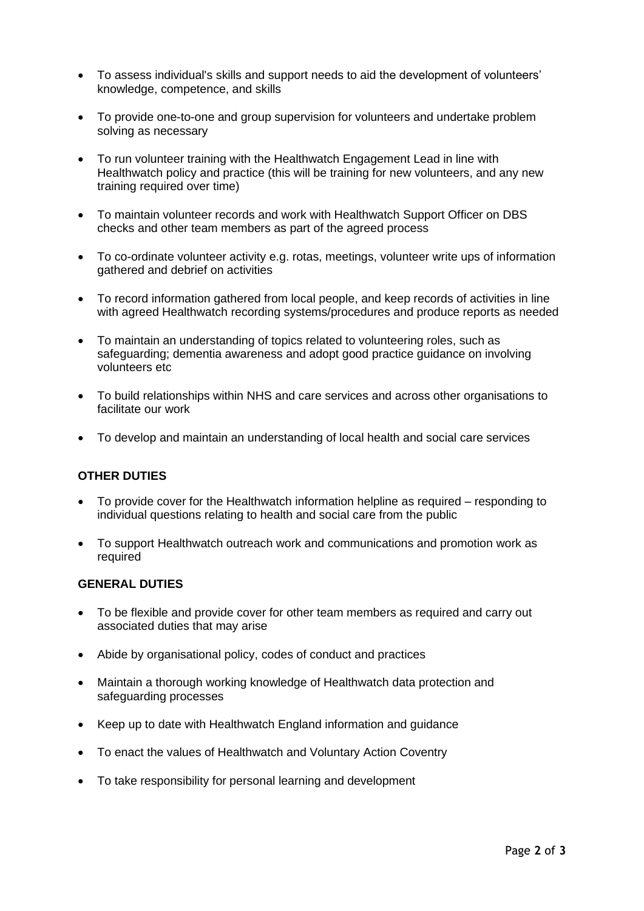- To assess individual's skills and support needs to aid the development of volunteers' knowledge, competence, and skills
- To provide one-to-one and group supervision for volunteers and undertake problem solving as necessary
- To run volunteer training with the Healthwatch Engagement Lead in line with Healthwatch policy and practice (this will be training for new volunteers, and any new training required over time)
- To maintain volunteer records and work with Healthwatch Support Officer on DBS checks and other team members as part of the agreed process
- To co-ordinate volunteer activity e.g. rotas, meetings, volunteer write ups of information gathered and debrief on activities
- To record information gathered from local people, and keep records of activities in line with agreed Healthwatch recording systems/procedures and produce reports as needed
- To maintain an understanding of topics related to volunteering roles, such as safeguarding; dementia awareness and adopt good practice guidance on involving volunteers etc
- To build relationships within NHS and care services and across other organisations to facilitate our work
- To develop and maintain an understanding of local health and social care services

### **OTHER DUTIES**

- To provide cover for the Healthwatch information helpline as required responding to individual questions relating to health and social care from the public
- To support Healthwatch outreach work and communications and promotion work as required

#### **GENERAL DUTIES**

- To be flexible and provide cover for other team members as required and carry out associated duties that may arise
- Abide by organisational policy, codes of conduct and practices
- Maintain a thorough working knowledge of Healthwatch data protection and safeguarding processes
- Keep up to date with Healthwatch England information and guidance
- To enact the values of Healthwatch and Voluntary Action Coventry
- To take responsibility for personal learning and development